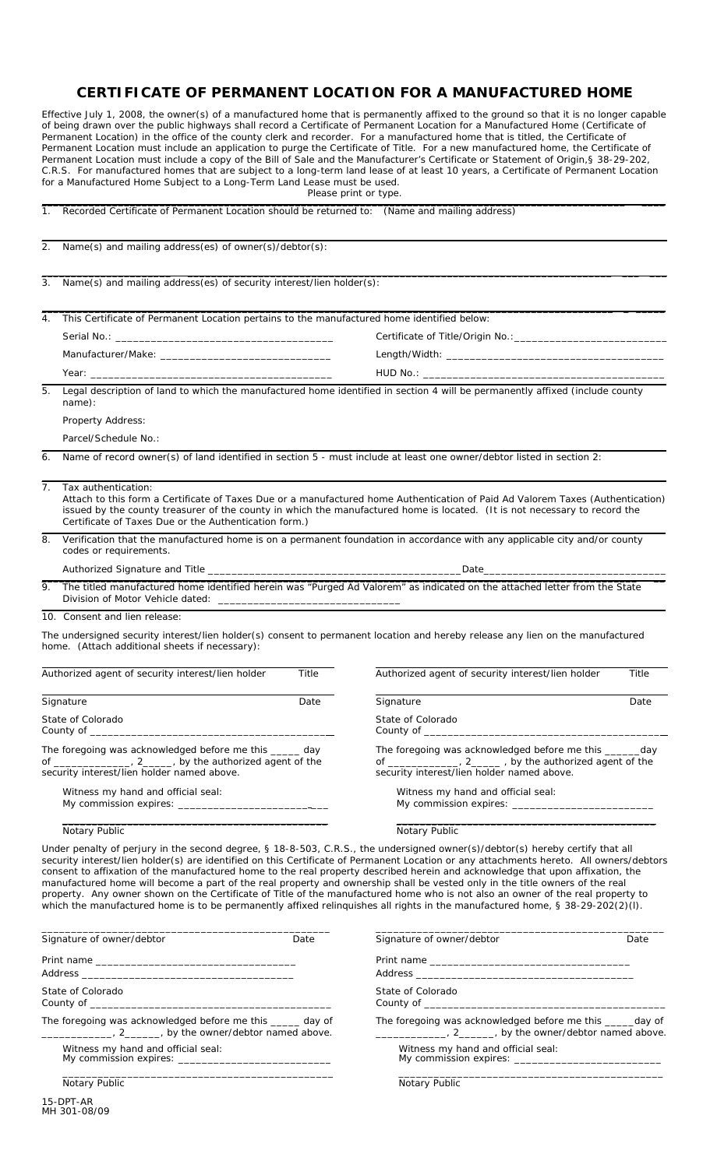## **CERTIFICATE OF PERMANENT LOCATION FOR A MANUFACTURED HOME**

 Effective July 1, 2008, the owner(s) of a manufactured home that is permanently affixed to the ground so that it is no longer capable of being drawn over the public highways shall record a Certificate of Permanent Location for a Manufactured Home (Certificate of Permanent Location) in the office of the county clerk and recorder. For a manufactured home that is titled, the Certificate of Permanent Location must include an application to purge the Certificate of Title. For a new manufactured home, the Certificate of Permanent Location must include a copy of the Bill of Sale and the Manufacturer's Certificate or Statement of Origin,§ 38-29-202, C.R.S. For manufactured homes that are subject to a long-term land lease of at least 10 years, a Certificate of Permanent Location for a Manufactured Home Subject to a Long-Term Land Lease must be used.

| Please print or type. |  |  |  |  |
|-----------------------|--|--|--|--|
|-----------------------|--|--|--|--|

| 1.                                                                                                                                                                    | Recorded Certificate of Permanent Location should be returned to: (Name and mailing address)                                                                                                                                                                                                                                                                                                                                                                                                                                                                                                                                                                                                                                                                                                                   |                                                                                                                              |       |  |  |  |
|-----------------------------------------------------------------------------------------------------------------------------------------------------------------------|----------------------------------------------------------------------------------------------------------------------------------------------------------------------------------------------------------------------------------------------------------------------------------------------------------------------------------------------------------------------------------------------------------------------------------------------------------------------------------------------------------------------------------------------------------------------------------------------------------------------------------------------------------------------------------------------------------------------------------------------------------------------------------------------------------------|------------------------------------------------------------------------------------------------------------------------------|-------|--|--|--|
| 2.                                                                                                                                                                    | Name(s) and mailing address(es) of owner(s)/debtor(s):                                                                                                                                                                                                                                                                                                                                                                                                                                                                                                                                                                                                                                                                                                                                                         |                                                                                                                              |       |  |  |  |
| 3.                                                                                                                                                                    | Name(s) and mailing address(es) of security interest/lien holder(s):                                                                                                                                                                                                                                                                                                                                                                                                                                                                                                                                                                                                                                                                                                                                           |                                                                                                                              |       |  |  |  |
| 4.                                                                                                                                                                    | This Certificate of Permanent Location pertains to the manufactured home identified below:                                                                                                                                                                                                                                                                                                                                                                                                                                                                                                                                                                                                                                                                                                                     |                                                                                                                              |       |  |  |  |
|                                                                                                                                                                       |                                                                                                                                                                                                                                                                                                                                                                                                                                                                                                                                                                                                                                                                                                                                                                                                                |                                                                                                                              |       |  |  |  |
|                                                                                                                                                                       |                                                                                                                                                                                                                                                                                                                                                                                                                                                                                                                                                                                                                                                                                                                                                                                                                |                                                                                                                              |       |  |  |  |
|                                                                                                                                                                       |                                                                                                                                                                                                                                                                                                                                                                                                                                                                                                                                                                                                                                                                                                                                                                                                                |                                                                                                                              |       |  |  |  |
| 5.                                                                                                                                                                    | Legal description of land to which the manufactured home identified in section 4 will be permanently affixed (include county<br>name):                                                                                                                                                                                                                                                                                                                                                                                                                                                                                                                                                                                                                                                                         |                                                                                                                              |       |  |  |  |
|                                                                                                                                                                       | Property Address:                                                                                                                                                                                                                                                                                                                                                                                                                                                                                                                                                                                                                                                                                                                                                                                              |                                                                                                                              |       |  |  |  |
|                                                                                                                                                                       | Parcel/Schedule No.:                                                                                                                                                                                                                                                                                                                                                                                                                                                                                                                                                                                                                                                                                                                                                                                           |                                                                                                                              |       |  |  |  |
| 6.                                                                                                                                                                    | Name of record owner(s) of land identified in section 5 - must include at least one owner/debtor listed in section 2:                                                                                                                                                                                                                                                                                                                                                                                                                                                                                                                                                                                                                                                                                          |                                                                                                                              |       |  |  |  |
| 7.                                                                                                                                                                    | Tax authentication:<br>Attach to this form a Certificate of Taxes Due or a manufactured home Authentication of Paid Ad Valorem Taxes (Authentication)<br>issued by the county treasurer of the county in which the manufactured home is located. (It is not necessary to record the<br>Certificate of Taxes Due or the Authentication form.)                                                                                                                                                                                                                                                                                                                                                                                                                                                                   |                                                                                                                              |       |  |  |  |
| 8.                                                                                                                                                                    | Verification that the manufactured home is on a permanent foundation in accordance with any applicable city and/or county<br>codes or requirements.                                                                                                                                                                                                                                                                                                                                                                                                                                                                                                                                                                                                                                                            |                                                                                                                              |       |  |  |  |
|                                                                                                                                                                       |                                                                                                                                                                                                                                                                                                                                                                                                                                                                                                                                                                                                                                                                                                                                                                                                                |                                                                                                                              |       |  |  |  |
|                                                                                                                                                                       | 9. The titled manufactured home identified herein was "Purged Ad Valorem" as indicated on the attached letter from the State                                                                                                                                                                                                                                                                                                                                                                                                                                                                                                                                                                                                                                                                                   |                                                                                                                              |       |  |  |  |
|                                                                                                                                                                       | 10. Consent and lien release:                                                                                                                                                                                                                                                                                                                                                                                                                                                                                                                                                                                                                                                                                                                                                                                  |                                                                                                                              |       |  |  |  |
|                                                                                                                                                                       | The undersigned security interest/lien holder(s) consent to permanent location and hereby release any lien on the manufactured<br>home. (Attach additional sheets if necessary):                                                                                                                                                                                                                                                                                                                                                                                                                                                                                                                                                                                                                               |                                                                                                                              |       |  |  |  |
|                                                                                                                                                                       | Authorized agent of security interest/lien holder<br>Title                                                                                                                                                                                                                                                                                                                                                                                                                                                                                                                                                                                                                                                                                                                                                     | Authorized agent of security interest/lien holder                                                                            | Title |  |  |  |
|                                                                                                                                                                       | Signature<br>Date                                                                                                                                                                                                                                                                                                                                                                                                                                                                                                                                                                                                                                                                                                                                                                                              | Signature                                                                                                                    | Date  |  |  |  |
| State of Colorado<br>County of ______                                                                                                                                 |                                                                                                                                                                                                                                                                                                                                                                                                                                                                                                                                                                                                                                                                                                                                                                                                                | State of Colorado<br>County of ______                                                                                        |       |  |  |  |
| The foregoing was acknowledged before me this _____ day<br>of ________________, 2______, by the authorized agent of the<br>security interest/lien holder named above. |                                                                                                                                                                                                                                                                                                                                                                                                                                                                                                                                                                                                                                                                                                                                                                                                                | The foregoing was acknowledged before me this _____<br>_day<br>of ________________, 2_______, by the authorized agent of the |       |  |  |  |
|                                                                                                                                                                       |                                                                                                                                                                                                                                                                                                                                                                                                                                                                                                                                                                                                                                                                                                                                                                                                                | security interest/lien holder named above.                                                                                   |       |  |  |  |
|                                                                                                                                                                       | Witness my hand and official seal:                                                                                                                                                                                                                                                                                                                                                                                                                                                                                                                                                                                                                                                                                                                                                                             | Witness my hand and official seal:                                                                                           |       |  |  |  |
|                                                                                                                                                                       | Notary Public                                                                                                                                                                                                                                                                                                                                                                                                                                                                                                                                                                                                                                                                                                                                                                                                  | Notary Public                                                                                                                |       |  |  |  |
|                                                                                                                                                                       | Under penalty of perjury in the second degree, § 18-8-503, C.R.S., the undersigned owner(s)/debtor(s) hereby certify that all<br>security interest/lien holder(s) are identified on this Certificate of Permanent Location or any attachments hereto. All owners/debtors<br>consent to affixation of the manufactured home to the real property described herein and acknowledge that upon affixation, the<br>manufactured home will become a part of the real property and ownership shall be vested only in the title owners of the real<br>property. Any owner shown on the Certificate of Title of the manufactured home who is not also an owner of the real property to<br>which the manufactured home is to be permanently affixed relinquishes all rights in the manufactured home, § 38-29-202(2)(I). |                                                                                                                              |       |  |  |  |

\_\_\_\_\_\_\_\_\_\_\_\_\_\_\_\_\_\_\_\_\_\_\_\_\_\_\_\_\_\_\_\_\_\_\_\_\_\_\_\_\_\_\_\_\_\_\_\_\_ \_\_\_\_\_\_\_\_\_\_\_\_\_\_\_\_\_\_\_\_\_\_\_\_\_\_\_\_\_\_\_\_\_\_\_\_\_\_\_\_\_\_\_\_\_\_\_\_\_

| Signature of owner/debtor                                                                                         | Date | Signature of owne                      |
|-------------------------------------------------------------------------------------------------------------------|------|----------------------------------------|
|                                                                                                                   |      | Print name<br>Address _________        |
| State of Colorado                                                                                                 |      | State of Colorado<br>County of _______ |
| The foregoing was acknowledged before me this _____ day of<br>$\frac{1}{2}$ , 2, by the owner/debtor named above. |      | The foregoing was<br>$\sim$ 2.         |
| Witness my hand and official seal:                                                                                |      | Witness my h<br>My commissio           |
| Notary Public                                                                                                     |      | <b>Notary Public</b>                   |

| Signature of owner/debtor                                                                                                            | Date |
|--------------------------------------------------------------------------------------------------------------------------------------|------|
|                                                                                                                                      |      |
| State of Colorado<br>County of the country of the country of the country of the country of the country of the country of the country |      |
| The foregoing was acknowledged before me this ______day of<br>$\frac{1}{1}$ , 2, by the owner/debtor named above.                    |      |
| Witness my hand and official seal:                                                                                                   |      |
| Notary Public                                                                                                                        |      |